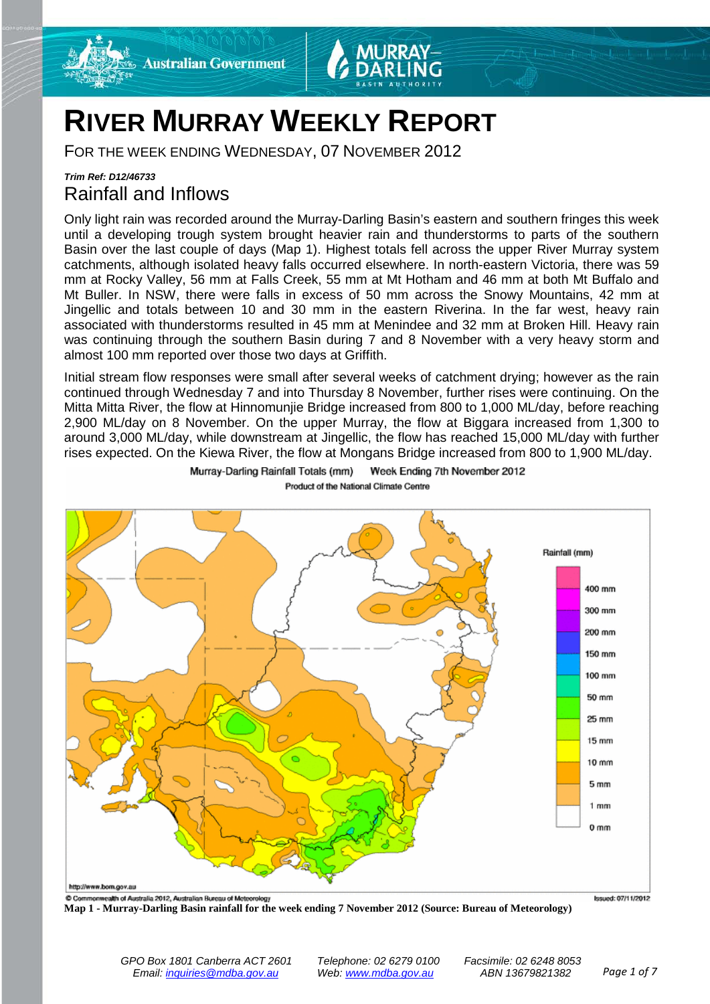



# **RIVER MURRAY WEEKLY REPORT**

FOR THE WEEK ENDING WEDNESDAY, 07 NOVEMBER 2012

# *Trim Ref: D12/46733* Rainfall and Inflows

Only light rain was recorded around the Murray-Darling Basin's eastern and southern fringes this week until a developing trough system brought heavier rain and thunderstorms to parts of the southern Basin over the last couple of days (Map 1). Highest totals fell across the upper River Murray system catchments, although isolated heavy falls occurred elsewhere. In north-eastern Victoria, there was 59 mm at Rocky Valley, 56 mm at Falls Creek, 55 mm at Mt Hotham and 46 mm at both Mt Buffalo and Mt Buller. In NSW, there were falls in excess of 50 mm across the Snowy Mountains, 42 mm at Jingellic and totals between 10 and 30 mm in the eastern Riverina. In the far west, heavy rain associated with thunderstorms resulted in 45 mm at Menindee and 32 mm at Broken Hill. Heavy rain was continuing through the southern Basin during 7 and 8 November with a very heavy storm and almost 100 mm reported over those two days at Griffith.

Initial stream flow responses were small after several weeks of catchment drying; however as the rain continued through Wednesday 7 and into Thursday 8 November, further rises were continuing. On the Mitta Mitta River, the flow at Hinnomunjie Bridge increased from 800 to 1,000 ML/day, before reaching 2,900 ML/day on 8 November. On the upper Murray, the flow at Biggara increased from 1,300 to around 3,000 ML/day, while downstream at Jingellic, the flow has reached 15,000 ML/day with further rises expected. On the Kiewa River, the flow at Mongans Bridge increased from 800 to 1,900 ML/day.



Week Ending 7th November 2012 Murray-Darling Rainfall Totals (mm) Product of the National Climate Centre

**Map 1 - Murray-Darling Basin rainfall for the week ending 7 November 2012 (Source: Bureau of Meteorology)**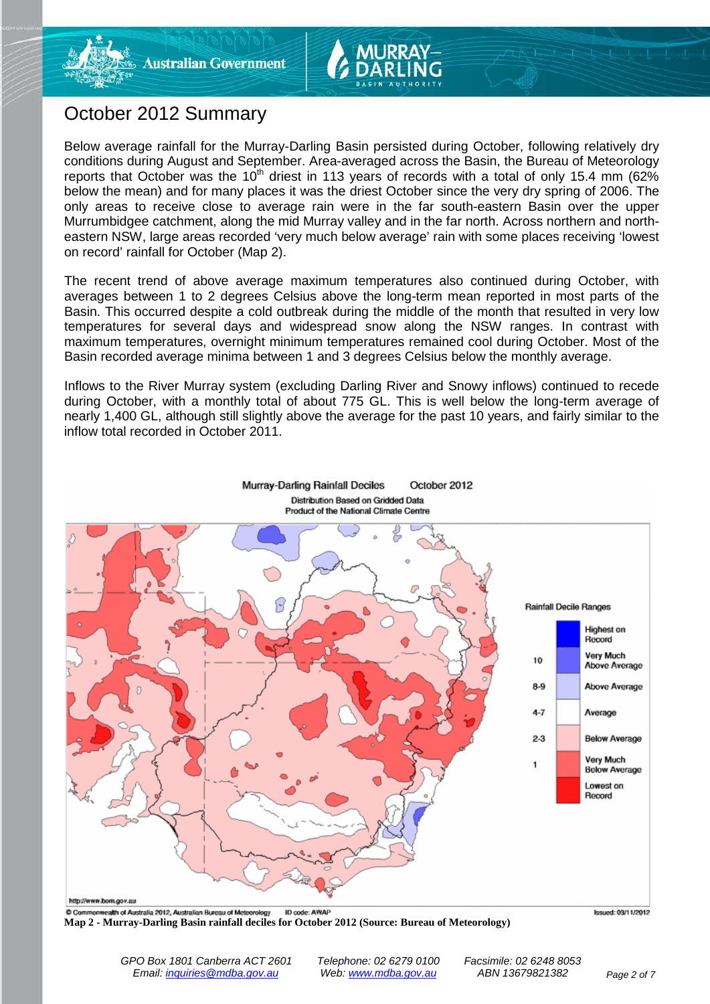



# October 2012 Summary

Below average rainfall for the Murray-Darling Basin persisted during October, following relatively dry conditions during August and September. Area-averaged across the Basin, the Bureau of Meteorology reports that October was the 10<sup>th</sup> driest in 113 years of records with a total of only 15.4 mm (62%) below the mean) and for many places it was the driest October since the very dry spring of 2006. The only areas to receive close to average rain were in the far south-eastern Basin over the upper Murrumbidgee catchment, along the mid Murray valley and in the far north. Across northern and northeastern NSW, large areas recorded 'very much below average' rain with some places receiving 'lowest on record' rainfall for October (Map 2).

The recent trend of above average maximum temperatures also continued during October, with averages between 1 to 2 degrees Celsius above the long-term mean reported in most parts of the Basin. This occurred despite a cold outbreak during the middle of the month that resulted in very low temperatures for several days and widespread snow along the NSW ranges. In contrast with maximum temperatures, overnight minimum temperatures remained cool during October. Most of the Basin recorded average minima between 1 and 3 degrees Celsius below the monthly average.

Inflows to the River Murray system (excluding Darling River and Snowy inflows) continued to recede during October, with a monthly total of about 775 GL. This is well below the long-term average of nearly 1,400 GL, although still slightly above the average for the past 10 years, and fairly similar to the inflow total recorded in October 2011.

October 2012

Murray-Darling Rainfall Deciles



**Map 2 - Murray-Darling Basin rainfall deciles for October 2012 (Source: Bureau of Meteorology)**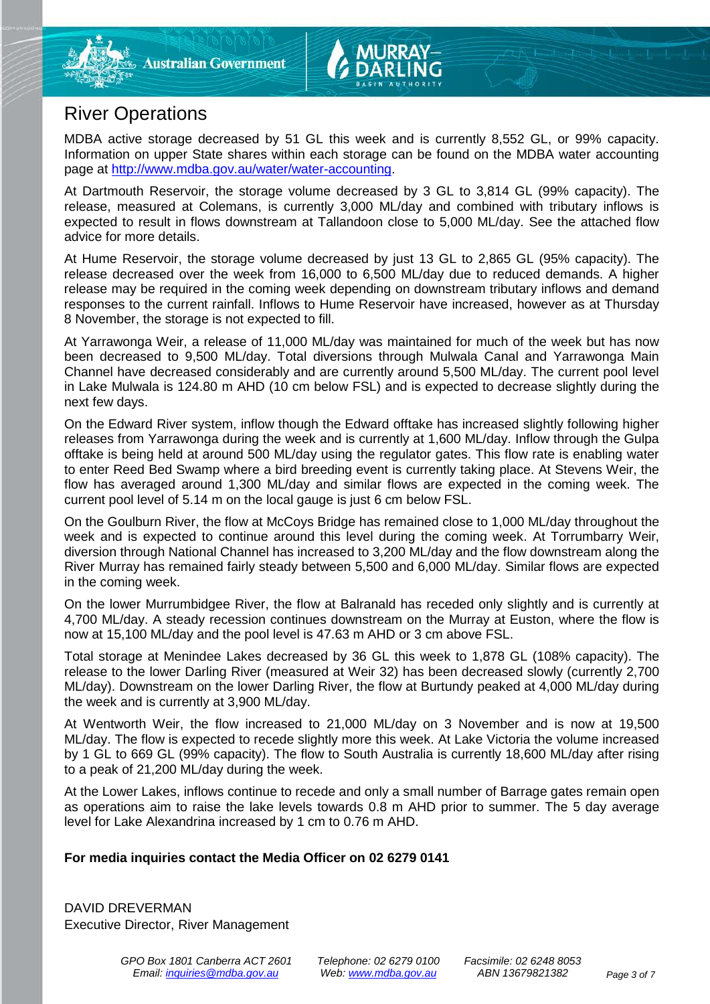

# River Operations

MDBA active storage decreased by 51 GL this week and is currently 8,552 GL, or 99% capacity. Information on upper State shares within each storage can be found on the MDBA water accounting page at [http://www.mdba.gov.au/water/water-accounting.](http://www.mdba.gov.au/water/water-accounting)

At Dartmouth Reservoir, the storage volume decreased by 3 GL to 3,814 GL (99% capacity). The release, measured at Colemans, is currently 3,000 ML/day and combined with tributary inflows is expected to result in flows downstream at Tallandoon close to 5,000 ML/day. See the attached flow advice for more details.

At Hume Reservoir, the storage volume decreased by just 13 GL to 2,865 GL (95% capacity). The release decreased over the week from 16,000 to 6,500 ML/day due to reduced demands. A higher release may be required in the coming week depending on downstream tributary inflows and demand responses to the current rainfall. Inflows to Hume Reservoir have increased, however as at Thursday 8 November, the storage is not expected to fill.

At Yarrawonga Weir, a release of 11,000 ML/day was maintained for much of the week but has now been decreased to 9,500 ML/day. Total diversions through Mulwala Canal and Yarrawonga Main Channel have decreased considerably and are currently around 5,500 ML/day. The current pool level in Lake Mulwala is 124.80 m AHD (10 cm below FSL) and is expected to decrease slightly during the next few days.

On the Edward River system, inflow though the Edward offtake has increased slightly following higher releases from Yarrawonga during the week and is currently at 1,600 ML/day. Inflow through the Gulpa offtake is being held at around 500 ML/day using the regulator gates. This flow rate is enabling water to enter Reed Bed Swamp where a bird breeding event is currently taking place. At Stevens Weir, the flow has averaged around 1,300 ML/day and similar flows are expected in the coming week. The current pool level of 5.14 m on the local gauge is just 6 cm below FSL.

On the Goulburn River, the flow at McCoys Bridge has remained close to 1,000 ML/day throughout the week and is expected to continue around this level during the coming week. At Torrumbarry Weir, diversion through National Channel has increased to 3,200 ML/day and the flow downstream along the River Murray has remained fairly steady between 5,500 and 6,000 ML/day. Similar flows are expected in the coming week.

On the lower Murrumbidgee River, the flow at Balranald has receded only slightly and is currently at 4,700 ML/day. A steady recession continues downstream on the Murray at Euston, where the flow is now at 15,100 ML/day and the pool level is 47.63 m AHD or 3 cm above FSL.

Total storage at Menindee Lakes decreased by 36 GL this week to 1,878 GL (108% capacity). The release to the lower Darling River (measured at Weir 32) has been decreased slowly (currently 2,700 ML/day). Downstream on the lower Darling River, the flow at Burtundy peaked at 4,000 ML/day during the week and is currently at 3,900 ML/day.

At Wentworth Weir, the flow increased to 21,000 ML/day on 3 November and is now at 19,500 ML/day. The flow is expected to recede slightly more this week. At Lake Victoria the volume increased by 1 GL to 669 GL (99% capacity). The flow to South Australia is currently 18,600 ML/day after rising to a peak of 21,200 ML/day during the week.

At the Lower Lakes, inflows continue to recede and only a small number of Barrage gates remain open as operations aim to raise the lake levels towards 0.8 m AHD prior to summer. The 5 day average level for Lake Alexandrina increased by 1 cm to 0.76 m AHD.

# **For media inquiries contact the Media Officer on 02 6279 0141**

DAVID DREVERMAN Executive Director, River Management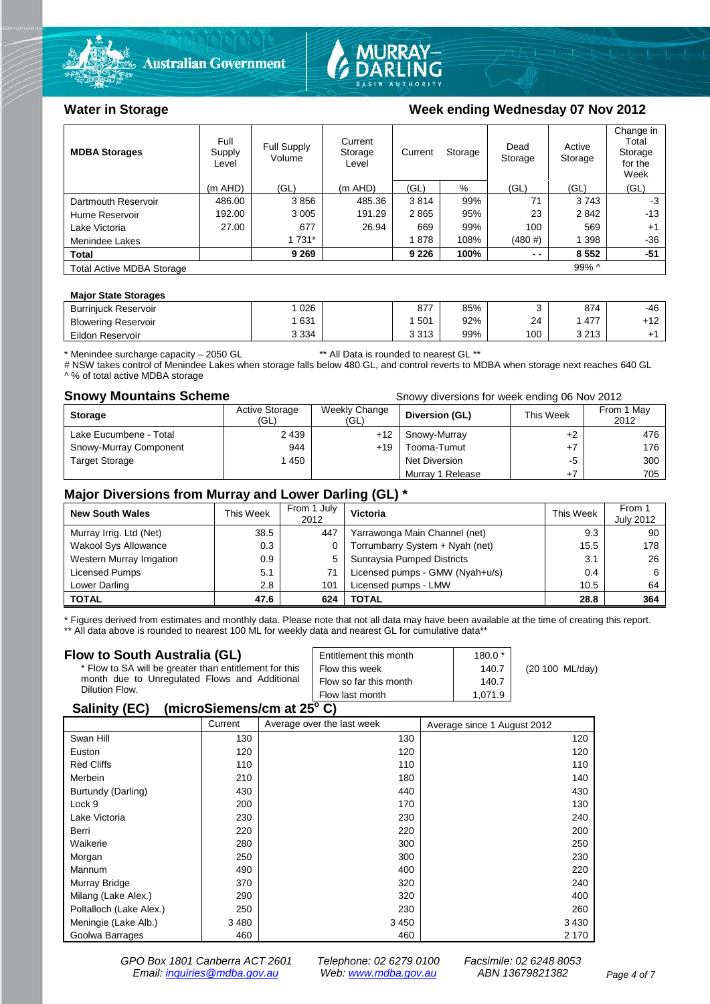



| <b>MDBA Storages</b>             | Full<br>Supply<br>Level | Full Supply<br>Volume | Current<br>Storage<br>Level | Storage<br>Current |      | Dead<br>Storage | Active<br>Storage | Change in<br>Total<br>Storage<br>for the<br>Week |  |
|----------------------------------|-------------------------|-----------------------|-----------------------------|--------------------|------|-----------------|-------------------|--------------------------------------------------|--|
|                                  | $(m$ AHD)               | (GL)                  | (m AHD)                     | $'GL$ )            | %    | (GL)            | (GL)              | (GL)                                             |  |
| Dartmouth Reservoir              | 486.00                  | 3856                  | 485.36                      | 3814               | 99%  | 71              | 3743              | -3                                               |  |
| Hume Reservoir                   | 192.00                  | 3 0 0 5               | 191.29                      | 2865               | 95%  | 23              | 2842              | $-13$                                            |  |
| Lake Victoria                    | 27.00                   | 677                   | 26.94                       | 669                | 99%  | 100             | 569               | $+1$                                             |  |
| Menindee Lakes                   |                         | 1 7 3 1 *             |                             | 1878               | 108% | $(480 \#)$      | 398               | $-36$                                            |  |
| <b>Total</b>                     |                         | 9 2 6 9               |                             | 9 2 2 6            | 100% | $ -$            | 8 5 5 2           | $-51$                                            |  |
| <b>Total Active MDBA Storage</b> |                         |                       |                             |                    |      |                 | 99% ^             |                                                  |  |

### **Major State Storages**

| <b>Burrinjuck Reservoir</b> | 026     | 877                      | 85% |     | 874             | $-46$     |
|-----------------------------|---------|--------------------------|-----|-----|-----------------|-----------|
| <b>Blowering Reservoir</b>  | 631     | 501                      | 92% | 24  | 477             | .40<br>ᅕᅜ |
| Eildon Reservoir            | 3 3 3 4 | <b>0 פו פ</b><br>ن ۱ ن ر | 99% | 100 | 0.010<br>ں ہے ں |           |

\* Menindee surcharge capacity – 2050 GL \*\* All Data is rounded to nearest GL \*\*

# NSW takes control of Menindee Lakes when storage falls below 480 GL, and control reverts to MDBA when storage next reaches 640 GL A % of total active MDBA storage

**Snowy Mountains Scheme Snowy diversions for week ending 06 Nov 2012** 

| <b>Storage</b>         | <b>Active Storage</b><br>(GL) | Weekly Change<br>(GL) | Diversion (GL)       | This Week | From 1 May<br>2012 |
|------------------------|-------------------------------|-----------------------|----------------------|-----------|--------------------|
| Lake Eucumbene - Total | 2 4 3 9                       | $+12$                 | Snowy-Murray         | +2        | 476                |
| Snowy-Murray Component | 944                           | $+19$                 | Tooma-Tumut          |           | 176                |
| <b>Target Storage</b>  | 1450                          |                       | <b>Net Diversion</b> | -5        | 300                |
|                        |                               |                       | Murray 1 Release     |           | 705                |

# **Major Diversions from Murray and Lower Darling (GL) \***

| <b>New South Wales</b>    | This Week | From 1 July<br>2012 | Victoria                        | This Week | From 1<br><b>July 2012</b> |
|---------------------------|-----------|---------------------|---------------------------------|-----------|----------------------------|
| Murray Irrig. Ltd (Net)   | 38.5      | 447                 | Yarrawonga Main Channel (net)   | 9.3       | 90                         |
| Wakool Sys Allowance      | 0.3       |                     | Torrumbarry System + Nyah (net) | 15.5      | 178                        |
| Western Murray Irrigation | 0.9       | 5                   | Sunraysia Pumped Districts      | 3.1       | 26                         |
| Licensed Pumps            | 5.1       |                     | Licensed pumps - GMW (Nyah+u/s) | 0.4       | 6                          |
| Lower Darling             | 2.8       | 101                 | Licensed pumps - LMW            | 10.5      | 64                         |
| <b>TOTAL</b>              | 47.6      | 624                 | TOTAL                           | 28.8      | 364                        |

\* Figures derived from estimates and monthly data. Please note that not all data may have been available at the time of creating this report.

\*\* All data above is rounded to nearest 100 ML for weekly data and nearest GL for cumulative data\*\*

| Flow to South Australia (GL)                           | Entitlement this month | $180.0*$ |                 |  |  |  |
|--------------------------------------------------------|------------------------|----------|-----------------|--|--|--|
| * Flow to SA will be greater than entitlement for this | Flow this week         | 140.7    | (20 100 ML/day) |  |  |  |
| month due to Unregulated Flows and Additional          | Flow so far this month | 140.7    |                 |  |  |  |
| Dilution Flow.                                         | Flow last month        | 1.071.9  |                 |  |  |  |
| A !! '. /EA\                                           |                        |          |                 |  |  |  |

## **Salinity (EC) (microSiemens/cm at 25o C)**

|                         | Current | Average over the last week | Average since 1 August 2012 |
|-------------------------|---------|----------------------------|-----------------------------|
| Swan Hill               | 130     | 130                        | 120                         |
| Euston                  | 120     | 120                        | 120                         |
| <b>Red Cliffs</b>       | 110     | 110                        | 110                         |
| Merbein                 | 210     | 180                        | 140                         |
| Burtundy (Darling)      | 430     | 440                        | 430                         |
| Lock 9                  | 200     | 170                        | 130                         |
| Lake Victoria           | 230     | 230                        | 240                         |
| Berri                   | 220     | 220                        | 200                         |
| Waikerie                | 280     | 300                        | 250                         |
| Morgan                  | 250     | 300                        | 230                         |
| Mannum                  | 490     | 400                        | 220                         |
| Murray Bridge           | 370     | 320                        | 240                         |
| Milang (Lake Alex.)     | 290     | 320                        | 400                         |
| Poltalloch (Lake Alex.) | 250     | 230                        | 260                         |
| Meningie (Lake Alb.)    | 3 4 8 0 | 3450                       | 3 4 3 0                     |
| Goolwa Barrages         | 460     | 460                        | 2 170                       |

*GPO Box 1801 Canberra ACT 2601 Telephone: 02 6279 0100 Facsimile: 02 6248 8053 Email: [inquiries@mdba.gov.au](mailto:inquiries@mdba.gov.au) Web: [www.mdba.gov.au](http://www.mdba.gov.au/) ABN 13679821382 Page 4 of 7*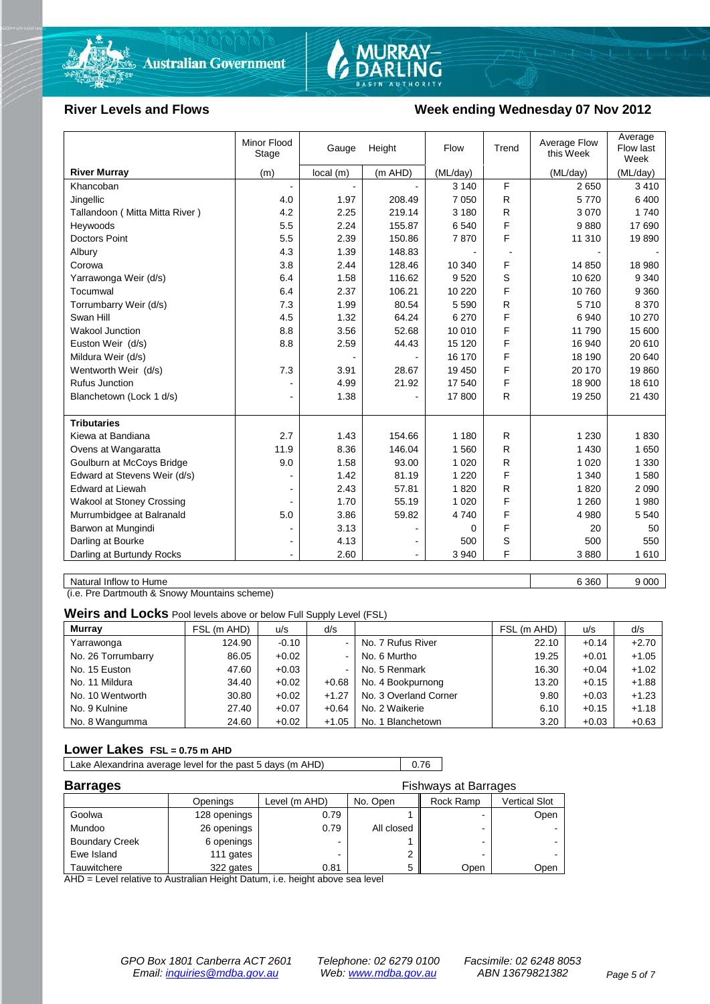



# **River Levels and Flows Week ending Wednesday 07 Nov 2012**

|                                  | Stage          | Gauge    | Height  | Flow     | Trend | Average Flow<br>this Week | Average<br>Flow last<br>Week |
|----------------------------------|----------------|----------|---------|----------|-------|---------------------------|------------------------------|
| <b>River Murray</b>              | (m)            | local(m) | (m AHD) | (ML/day) |       | (ML/day)                  | (ML/day)                     |
| Khancoban                        | $\blacksquare$ |          |         | 3 1 4 0  | E     | 2650                      | 3410                         |
| Jingellic                        | 4.0            | 1.97     | 208.49  | 7 0 5 0  | R     | 5770                      | 6400                         |
| Tallandoon (Mitta Mitta River)   | 4.2            | 2.25     | 219.14  | 3 1 8 0  | R     | 3 0 7 0                   | 1740                         |
| Heywoods                         | 5.5            | 2.24     | 155.87  | 6 5 4 0  | F     | 9880                      | 17 690                       |
| <b>Doctors Point</b>             | 5.5            | 2.39     | 150.86  | 7870     | F     | 11 310                    | 19890                        |
| Albury                           | 4.3            | 1.39     | 148.83  |          |       |                           |                              |
| Corowa                           | 3.8            | 2.44     | 128.46  | 10 340   | F     | 14 850                    | 18 980                       |
| Yarrawonga Weir (d/s)            | 6.4            | 1.58     | 116.62  | 9520     | S     | 10 6 20                   | 9 3 4 0                      |
| Tocumwal                         | 6.4            | 2.37     | 106.21  | 10 220   | F     | 10760                     | 9 3 6 0                      |
| Torrumbarry Weir (d/s)           | 7.3            | 1.99     | 80.54   | 5 5 9 0  | R     | 5710                      | 8 3 7 0                      |
| Swan Hill                        | 4.5            | 1.32     | 64.24   | 6 2 7 0  | F     | 6940                      | 10 270                       |
| <b>Wakool Junction</b>           | 8.8            | 3.56     | 52.68   | 10 010   | F     | 11 790                    | 15 600                       |
| Euston Weir (d/s)                | 8.8            | 2.59     | 44.43   | 15 120   | F     | 16 940                    | 20 610                       |
| Mildura Weir (d/s)               |                |          |         | 16 170   | F     | 18 190                    | 20 640                       |
| Wentworth Weir (d/s)             | 7.3            | 3.91     | 28.67   | 19 450   | F     | 20 170                    | 19860                        |
| <b>Rufus Junction</b>            |                | 4.99     | 21.92   | 17 540   | F     | 18 900                    | 18 610                       |
| Blanchetown (Lock 1 d/s)         | $\blacksquare$ | 1.38     |         | 17800    | R     | 19 250                    | 21 430                       |
|                                  |                |          |         |          |       |                           |                              |
| <b>Tributaries</b>               |                |          |         |          |       |                           |                              |
| Kiewa at Bandiana                | 2.7            | 1.43     | 154.66  | 1 1 8 0  | R     | 1 2 3 0                   | 1830                         |
| Ovens at Wangaratta              | 11.9           | 8.36     | 146.04  | 1 5 6 0  | R     | 1 4 3 0                   | 1 650                        |
| Goulburn at McCoys Bridge        | 9.0            | 1.58     | 93.00   | 1 0 2 0  | R     | 1 0 2 0                   | 1 3 3 0                      |
| Edward at Stevens Weir (d/s)     |                | 1.42     | 81.19   | 1 2 2 0  | F     | 1 3 4 0                   | 1580                         |
| <b>Edward at Liewah</b>          |                | 2.43     | 57.81   | 1820     | R     | 1820                      | 2 0 9 0                      |
| <b>Wakool at Stoney Crossing</b> |                | 1.70     | 55.19   | 1 0 2 0  | F     | 1 2 6 0                   | 1 980                        |
| Murrumbidgee at Balranald        | 5.0            | 3.86     | 59.82   | 4740     | F     | 4 9 8 0                   | 5 5 4 0                      |
| Barwon at Mungindi               |                | 3.13     |         | 0        | F     | 20                        | 50                           |
| Darling at Bourke                | $\blacksquare$ | 4.13     |         | 500      | S     | 500                       | 550                          |
| Darling at Burtundy Rocks        |                | 2.60     |         | 3 9 4 0  | F     | 3880                      | 1610                         |

Natural Inflow to Hume 6 360 9 000

(i.e. Pre Dartmouth & Snowy Mountains scheme)

**Weirs and Locks** Pool levels above or below Full Supply Level (FSL)

| <b>Murray</b>      | FSL (m AHD) | u/s     | d/s            |                       | FSL (m AHD) | u/s     | d/s     |
|--------------------|-------------|---------|----------------|-----------------------|-------------|---------|---------|
| Yarrawonga         | 124.90      | $-0.10$ | $\blacksquare$ | No. 7 Rufus River     | 22.10       | $+0.14$ | $+2.70$ |
| No. 26 Torrumbarry | 86.05       | $+0.02$ | $\sim$         | No. 6 Murtho          | 19.25       | $+0.01$ | $+1.05$ |
| No. 15 Euston      | 47.60       | $+0.03$ | $\blacksquare$ | No. 5 Renmark         | 16.30       | $+0.04$ | $+1.02$ |
| No. 11 Mildura     | 34.40       | $+0.02$ | $+0.68$        | No. 4 Bookpurnong     | 13.20       | $+0.15$ | $+1.88$ |
| No. 10 Wentworth   | 30.80       | $+0.02$ | $+1.27$        | No. 3 Overland Corner | 9.80        | $+0.03$ | $+1.23$ |
| No. 9 Kulnine      | 27.40       | $+0.07$ | $+0.64$        | No. 2 Waikerie        | 6.10        | $+0.15$ | $+1.18$ |
| No. 8 Wangumma     | 24.60       | $+0.02$ | $+1.05$        | No. 1 Blanchetown     | 3.20        | $+0.03$ | $+0.63$ |

## **Lower Lakes FSL = 0.75 m AHD**

Lake Alexandrina average level for the past 5 days (m AHD) 0.76

| <b>Barrages</b>       |              | <b>Fishways at Barrages</b> |            |                          |               |
|-----------------------|--------------|-----------------------------|------------|--------------------------|---------------|
|                       | Openings     | Level (m AHD)               | No. Open   | Rock Ramp                | Vertical Slot |
| Goolwa                | 128 openings | 0.79                        |            | -                        | Open          |
| Mundoo                | 26 openings  | 0.79                        | All closed | $\overline{\phantom{0}}$ |               |
| <b>Boundary Creek</b> | 6 openings   |                             |            | $\blacksquare$           |               |
| Ewe Island            | 111 gates    |                             |            | -                        |               |
| Tauwitchere           | 322 gates    | 0.81                        | 5          | Open                     | Open          |

AHD = Level relative to Australian Height Datum, i.e. height above sea level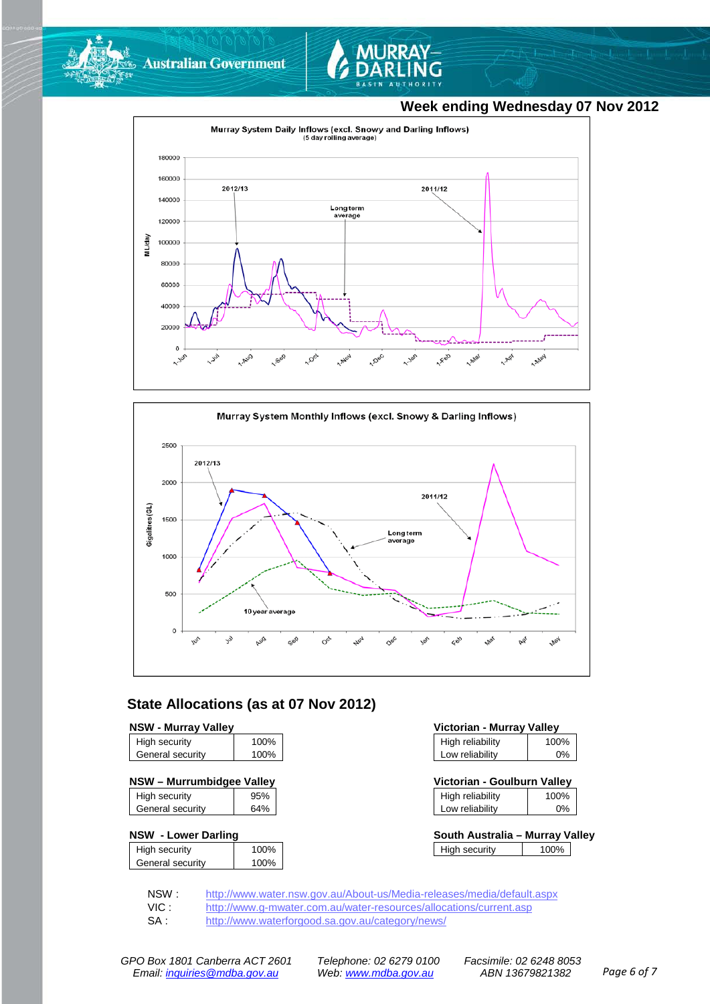



# **Week ending Wednesday 07 Nov 2012**





# **State Allocations (as at 07 Nov 2012)**

| <b>NSW - Murray Valley</b> |  |
|----------------------------|--|
|----------------------------|--|

| High security    | 100% |
|------------------|------|
| General security | 100% |
|                  |      |

### **NSW – Murrumbidgee Valley Victorian - Goulburn Valley**

| High security    | 95% |
|------------------|-----|
| General security | 64% |
|                  |     |

### **NSW - Lower Darling**

| High security    | 100% |
|------------------|------|
|                  |      |
| General security | 100% |
|                  |      |

| <b>NSW - Murray Valley</b> | Victorian - Murray Valley |                  |      |
|----------------------------|---------------------------|------------------|------|
| High security              | 100%                      | High reliability | 100% |
| General security           | 100%                      | Low reliability  | 0%   |

| Victorian - Goulburn Valley |      |
|-----------------------------|------|
| High reliability            | 100% |

| Low reliability | 0% |  |
|-----------------|----|--|
|                 |    |  |

| South Australia – Murray Valley |      |  |
|---------------------------------|------|--|
| High security                   | 100% |  |

NSW : <http://www.water.nsw.gov.au/About-us/Media-releases/media/default.aspx><br>VIC : http://www.g-mwater.com.au/water-resources/allocations/current.asp

VIC : <http://www.g-mwater.com.au/water-resources/allocations/current.asp><br>SA : http://www.waterforgood.sa.gov.au/category/news/

<http://www.waterforgood.sa.gov.au/category/news/>